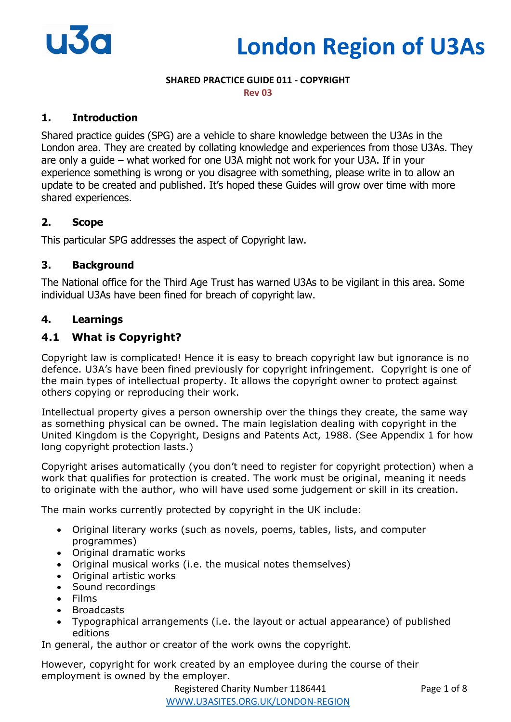# **London Region of U3As**

## **SHARED PRACTICE GUIDE 011 - COPYRIGHT**

**Rev 03**

## **1. Introduction**

Shared practice guides (SPG) are a vehicle to share knowledge between the U3As in the London area. They are created by collating knowledge and experiences from those U3As. They are only a guide – what worked for one U3A might not work for your U3A. If in your experience something is wrong or you disagree with something, please write in to allow an update to be created and published. It's hoped these Guides will grow over time with more shared experiences.

## **2. Scope**

This particular SPG addresses the aspect of Copyright law.

## **3. Background**

The National office for the Third Age Trust has warned U3As to be vigilant in this area. Some individual U3As have been fined for breach of copyright law.

## **4. Learnings**

## **4.1 What is Copyright?**

Copyright law is complicated! Hence it is easy to breach copyright law but ignorance is no defence. U3A's have been fined previously for copyright infringement. Copyright is one of the main types of intellectual property. It allows the copyright owner to protect against others copying or reproducing their work.

Intellectual property gives a person ownership over the things they create, the same way as something physical can be owned. The main legislation dealing with copyright in the United Kingdom is the Copyright, Designs and Patents Act, 1988. (See Appendix 1 for how long copyright protection lasts.)

Copyright arises automatically (you don't need to register for copyright protection) when a work that qualifies for protection is created. The work must be original, meaning it needs to originate with the author, who will have used some judgement or skill in its creation.

The main works currently protected by copyright in the UK include:

- Original literary works (such as novels, poems, tables, lists, and computer programmes)
- Original dramatic works
- Original musical works (i.e. the musical notes themselves)
- Original artistic works
- Sound recordings
- Films
- Broadcasts
- Typographical arrangements (i.e. the layout or actual appearance) of published editions

In general, the author or creator of the work owns the copyright.

However, copyright for work created by an employee during the course of their employment is owned by the employer.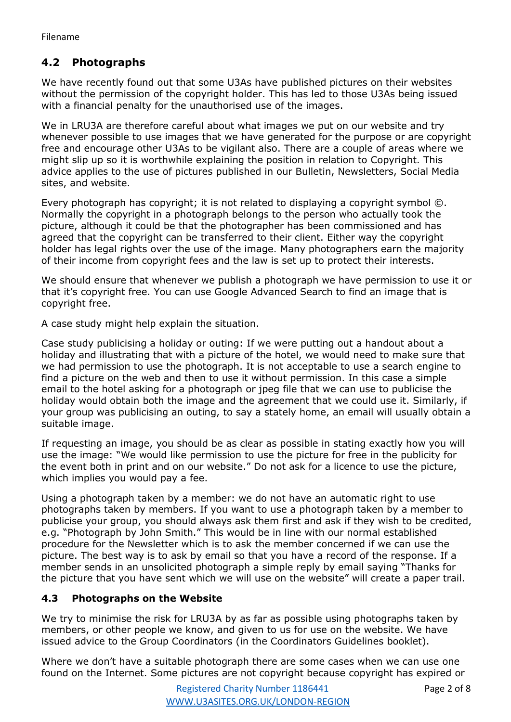# **4.2 Photographs**

We have recently found out that some U3As have published pictures on their websites without the permission of the copyright holder. This has led to those U3As being issued with a financial penalty for the unauthorised use of the images.

We in LRU3A are therefore careful about what images we put on our website and try whenever possible to use images that we have generated for the purpose or are copyright free and encourage other U3As to be vigilant also. There are a couple of areas where we might slip up so it is worthwhile explaining the position in relation to Copyright. This advice applies to the use of pictures published in our Bulletin, Newsletters, Social Media sites, and website.

Every photograph has copyright; it is not related to displaying a copyright symbol ©. Normally the copyright in a photograph belongs to the person who actually took the picture, although it could be that the photographer has been commissioned and has agreed that the copyright can be transferred to their client. Either way the copyright holder has legal rights over the use of the image. Many photographers earn the majority of their income from copyright fees and the law is set up to protect their interests.

We should ensure that whenever we publish a photograph we have permission to use it or that it's copyright free. You can use Google Advanced Search to find an image that is copyright free.

A case study might help explain the situation.

Case study publicising a holiday or outing: If we were putting out a handout about a holiday and illustrating that with a picture of the hotel, we would need to make sure that we had permission to use the photograph. It is not acceptable to use a search engine to find a picture on the web and then to use it without permission. In this case a simple email to the hotel asking for a photograph or jpeg file that we can use to publicise the holiday would obtain both the image and the agreement that we could use it. Similarly, if your group was publicising an outing, to say a stately home, an email will usually obtain a suitable image.

If requesting an image, you should be as clear as possible in stating exactly how you will use the image: "We would like permission to use the picture for free in the publicity for the event both in print and on our website." Do not ask for a licence to use the picture, which implies you would pay a fee.

Using a photograph taken by a member: we do not have an automatic right to use photographs taken by members. If you want to use a photograph taken by a member to publicise your group, you should always ask them first and ask if they wish to be credited, e.g. "Photograph by John Smith." This would be in line with our normal established procedure for the Newsletter which is to ask the member concerned if we can use the picture. The best way is to ask by email so that you have a record of the response. If a member sends in an unsolicited photograph a simple reply by email saying "Thanks for the picture that you have sent which we will use on the website" will create a paper trail.

## **4.3 Photographs on the Website**

We try to minimise the risk for LRU3A by as far as possible using photographs taken by members, or other people we know, and given to us for use on the website. We have issued advice to the Group Coordinators (in the Coordinators Guidelines booklet).

Where we don't have a suitable photograph there are some cases when we can use one found on the Internet. Some pictures are not copyright because copyright has expired or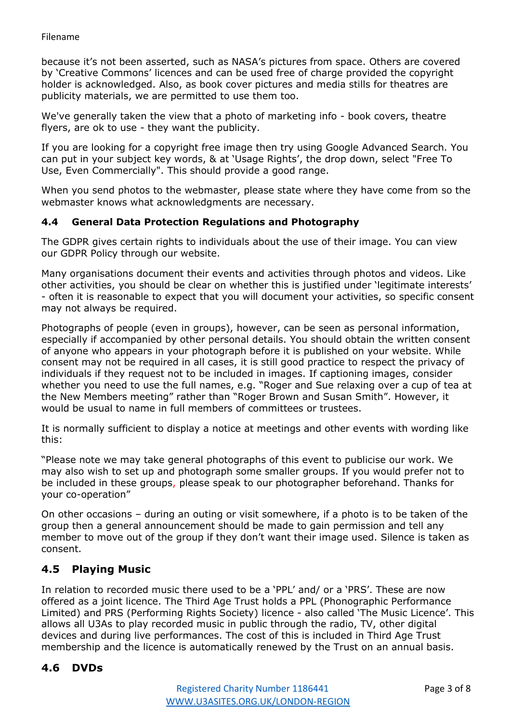because it's not been asserted, such as NASA's pictures from space. Others are covered by 'Creative Commons' licences and can be used free of charge provided the copyright holder is acknowledged. Also, as book cover pictures and media stills for theatres are publicity materials, we are permitted to use them too.

We've generally taken the view that a photo of marketing info - book covers, theatre flyers, are ok to use - they want the publicity.

If you are looking for a copyright free image then try using Google Advanced Search. You can put in your subject key words, & at 'Usage Rights', the drop down, select "Free To Use, Even Commercially". This should provide a good range.

When you send photos to the webmaster, please state where they have come from so the webmaster knows what acknowledgments are necessary.

#### **4.4 General Data Protection Regulations and Photography**

The GDPR gives certain rights to individuals about the use of their image. You can view our GDPR Policy through our website.

Many organisations document their events and activities through photos and videos. Like other activities, you should be clear on whether this is justified under 'legitimate interests' - often it is reasonable to expect that you will document your activities, so specific consent may not always be required.

Photographs of people (even in groups), however, can be seen as personal information, especially if accompanied by other personal details. You should obtain the written consent of anyone who appears in your photograph before it is published on your website. While consent may not be required in all cases, it is still good practice to respect the privacy of individuals if they request not to be included in images. If captioning images, consider whether you need to use the full names, e.g. "Roger and Sue relaxing over a cup of tea at the New Members meeting" rather than "Roger Brown and Susan Smith". However, it would be usual to name in full members of committees or trustees.

It is normally sufficient to display a notice at meetings and other events with wording like this:

"Please note we may take general photographs of this event to publicise our work. We may also wish to set up and photograph some smaller groups. If you would prefer not to be included in these groups, please speak to our photographer beforehand. Thanks for your co-operation"

On other occasions – during an outing or visit somewhere, if a photo is to be taken of the group then a general announcement should be made to gain permission and tell any member to move out of the group if they don't want their image used. Silence is taken as consent.

# **4.5 Playing Music**

In relation to recorded music there used to be a 'PPL' and/ or a 'PRS'. These are now offered as a joint licence. The Third Age Trust holds a PPL (Phonographic Performance Limited) and PRS (Performing Rights Society) licence - also called 'The Music Licence'. This allows all U3As to play recorded music in public through the radio, TV, other digital devices and during live performances. The cost of this is included in Third Age Trust membership and the licence is automatically renewed by the Trust on an annual basis.

# **4.6 DVDs**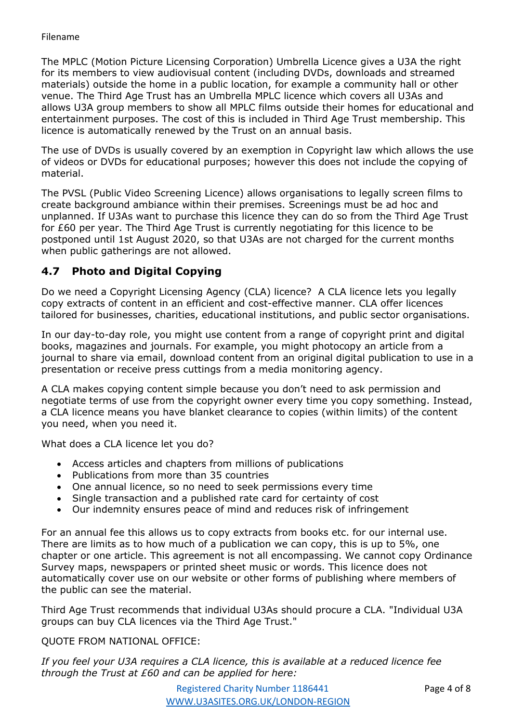The MPLC (Motion Picture Licensing Corporation) Umbrella Licence gives a U3A the right for its members to view audiovisual content (including DVDs, downloads and streamed materials) outside the home in a public location, for example a community hall or other venue. The Third Age Trust has an Umbrella MPLC licence which covers all U3As and allows U3A group members to show all MPLC films outside their homes for educational and entertainment purposes. The cost of this is included in Third Age Trust membership. This licence is automatically renewed by the Trust on an annual basis.

The use of DVDs is usually covered by an exemption in Copyright law which allows the use of videos or DVDs for educational purposes; however this does not include the copying of material.

The PVSL (Public Video Screening Licence) allows organisations to legally screen films to create background ambiance within their premises. Screenings must be ad hoc and unplanned. If U3As want to purchase this licence they can do so from the Third Age Trust for £60 per year. The Third Age Trust is currently negotiating for this licence to be postponed until 1st August 2020, so that U3As are not charged for the current months when public gatherings are not allowed.

# **4.7 Photo and Digital Copying**

Do we need a Copyright Licensing Agency (CLA) licence? A CLA licence lets you legally copy extracts of content in an efficient and cost-effective manner. CLA offer licences tailored for businesses, charities, educational institutions, and public sector organisations.

In our day-to-day role, you might use content from a range of copyright print and digital books, magazines and journals. For example, you might photocopy an article from a journal to share via email, download content from an original digital publication to use in a presentation or receive press cuttings from a media monitoring agency.

A CLA makes copying content simple because you don't need to ask permission and negotiate terms of use from the copyright owner every time you copy something. Instead, a CLA licence means you have blanket clearance to copies (within limits) of the content you need, when you need it.

What does a CLA licence let you do?

- Access articles and chapters from millions of publications
- Publications from more than 35 countries
- One annual licence, so no need to seek permissions every time
- Single transaction and a published rate card for certainty of cost
- Our indemnity ensures peace of mind and reduces risk of infringement

For an annual fee this allows us to copy extracts from books etc. for our internal use. There are limits as to how much of a publication we can copy, this is up to 5%, one chapter or one article. This agreement is not all encompassing. We cannot copy Ordinance Survey maps, newspapers or printed sheet music or words. This licence does not automatically cover use on our website or other forms of publishing where members of the public can see the material.

Third Age Trust recommends that individual U3As should procure a CLA. "Individual U3A groups can buy CLA licences via the Third Age Trust."

#### QUOTE FROM NATIONAL OFFICE:

*If you feel your U3A requires a CLA licence, this is available at a reduced licence fee through the Trust at £60 and can be applied for here:*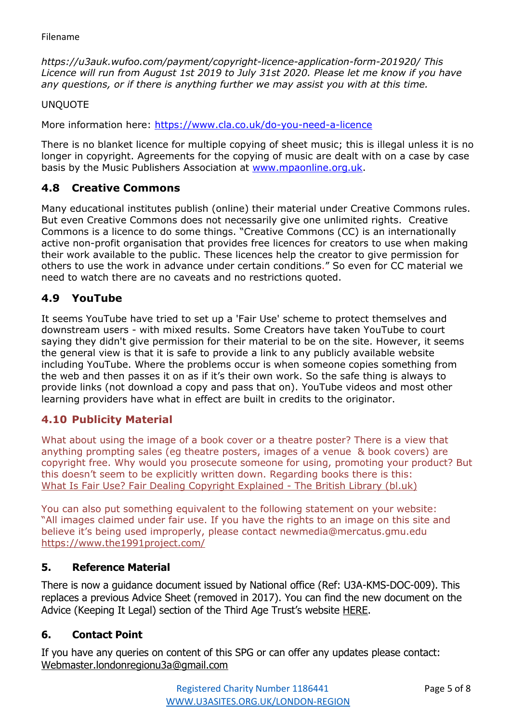*https://u3auk.wufoo.com/payment/copyright-licence-application-form-201920/ This Licence will run from August 1st 2019 to July 31st 2020. Please let me know if you have any questions, or if there is anything further we may assist you with at this time.*

UNQUOTE

More information here:<https://www.cla.co.uk/do-you-need-a-licence>

There is no blanket licence for multiple copying of sheet music; this is illegal unless it is no longer in copyright. Agreements for the copying of music are dealt with on a case by case basis by the Music Publishers Association at [www.mpaonline.org.uk.](http://www.mpaonline.org.uk/)

# **4.8 Creative Commons**

Many educational institutes publish (online) their material under Creative Commons rules. But even Creative Commons does not necessarily give one unlimited rights. Creative Commons is a licence to do some things. "Creative Commons (CC) is an internationally active non-profit organisation that provides free licences for creators to use when making their work available to the public. These licences help the creator to give permission for others to use the work in advance under certain conditions." So even for CC material we need to watch there are no caveats and no restrictions quoted.

# **4.9 YouTube**

It seems YouTube have tried to set up a 'Fair Use' scheme to protect themselves and downstream users - with mixed results. Some Creators have taken YouTube to court saying they didn't give permission for their material to be on the site. However, it seems the general view is that it is safe to provide a link to any publicly available website including YouTube. Where the problems occur is when someone copies something from the web and then passes it on as if it's their own work. So the safe thing is always to provide links (not download a copy and pass that on). YouTube videos and most other learning providers have what in effect are built in credits to the originator.

## **4.10 Publicity Material**

What about using the image of a book cover or a theatre poster? There is a view that anything prompting sales (eg theatre posters, images of a venue & book covers) are copyright free. Why would you prosecute someone for using, promoting your product? But this doesn't seem to be explicitly written down. Regarding books there is this: [What Is Fair Use? Fair Dealing Copyright Explained -](https://emea01.safelinks.protection.outlook.com/?url=https%3A%2F%2Fwww.bl.uk%2Fbusiness-and-ip-centre%2Farticles%2Ffair-use-copyright-explained&data=04%7C01%7C%7Cbf595f8a99b94d64b9e608d98b60ec68%7C84df9e7fe9f640afb435aaaaaaaaaaaa%7C1%7C0%7C637694070657248761%7CUnknown%7CTWFpbGZsb3d8eyJWIjoiMC4wLjAwMDAiLCJQIjoiV2luMzIiLCJBTiI6Ik1haWwiLCJXVCI6Mn0%3D%7C1000&sdata=4svZlXrQ4%2BoQqGQC0XUXmmvZJUhmMMplrWVOufwMNrA%3D&reserved=0) The British Library (bl.uk)

You can also put something equivalent to the following statement on your website: "All images claimed under fair use. If you have the rights to an image on this site and believe it's being used improperly, please contact newmedia@mercatus.gmu.edu [https://www.the1991project.com/](https://emea01.safelinks.protection.outlook.com/?url=https%3A%2F%2Fwww.the1991project.com%2F&data=04%7C01%7C%7Cbf595f8a99b94d64b9e608d98b60ec68%7C84df9e7fe9f640afb435aaaaaaaaaaaa%7C1%7C0%7C637694070657258711%7CUnknown%7CTWFpbGZsb3d8eyJWIjoiMC4wLjAwMDAiLCJQIjoiV2luMzIiLCJBTiI6Ik1haWwiLCJXVCI6Mn0%3D%7C1000&sdata=3d3BpXqyNQ4IEDGqtQn34hk7oAcqDApZEFLLPVFdGo0%3D&reserved=0)

## **5. Reference Material**

There is now a guidance document issued by National office (Ref: U3A-KMS-DOC-009). This replaces a previous Advice Sheet (removed in 2017). You can find the new document on the Advice (Keeping It Legal) section of the Third Age Trust's website [HERE.](https://www.u3a.org.uk/advice/keeping-it-legal/623-copyright-u3a-kms-doc-009)

## **6. Contact Point**

If you have any queries on content of this SPG or can offer any updates please contact: [Webmaster.londonregionu3a@gmail.com](mailto:Webmaster.londonregionu3a@gmail.com)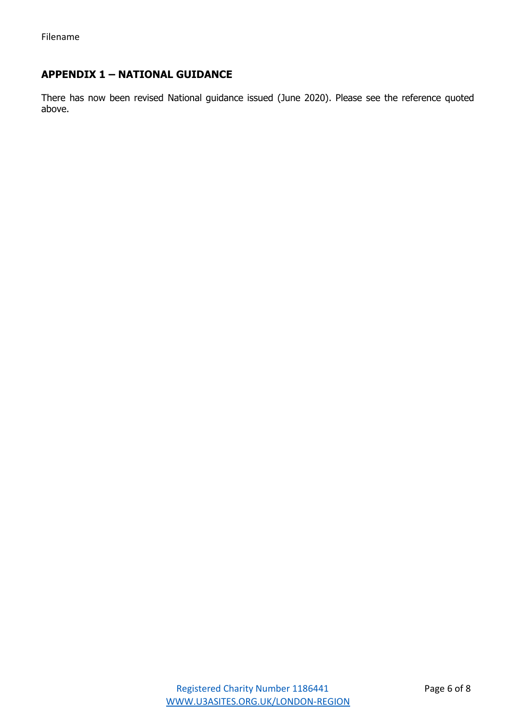# **APPENDIX 1 – NATIONAL GUIDANCE**

There has now been revised National guidance issued (June 2020). Please see the reference quoted above.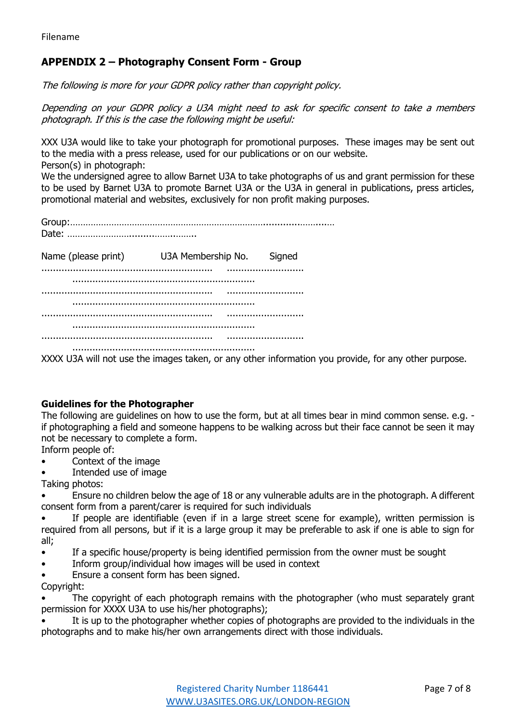# **APPENDIX 2 – Photography Consent Form - Group**

The following is more for your GDPR policy rather than copyright policy.

Depending on your GDPR policy a U3A might need to ask for specific consent to take a members photograph. If this is the case the following might be useful:

XXX U3A would like to take your photograph for promotional purposes. These images may be sent out to the media with a press release, used for our publications or on our website. Person(s) in photograph:

We the undersigned agree to allow Barnet U3A to take photographs of us and grant permission for these to be used by Barnet U3A to promote Barnet U3A or the U3A in general in publications, press articles, promotional material and websites, exclusively for non profit making purposes.

Group:………………………………………………………………….............……....… Date: …………………….........……..……..

Name (please print) U3A Membership No. Signed ............................................................ ........................... ................................................................ ............................................................ ........................... ................................................................ ............................................................ ........................... ................................................................ ............................................................ ........................... ................................................................

XXXX U3A will not use the images taken, or any other information you provide, for any other purpose.

#### **Guidelines for the Photographer**

The following are guidelines on how to use the form, but at all times bear in mind common sense. e.g. if photographing a field and someone happens to be walking across but their face cannot be seen it may not be necessary to complete a form.

Inform people of:

- Context of the image
- Intended use of image

Taking photos:

• Ensure no children below the age of 18 or any vulnerable adults are in the photograph. A different consent form from a parent/carer is required for such individuals

If people are identifiable (even if in a large street scene for example), written permission is required from all persons, but if it is a large group it may be preferable to ask if one is able to sign for all;

- If a specific house/property is being identified permission from the owner must be sought
- Inform group/individual how images will be used in context
- Ensure a consent form has been signed.

Copyright:

The copyright of each photograph remains with the photographer (who must separately grant permission for XXXX U3A to use his/her photographs);

It is up to the photographer whether copies of photographs are provided to the individuals in the photographs and to make his/her own arrangements direct with those individuals.